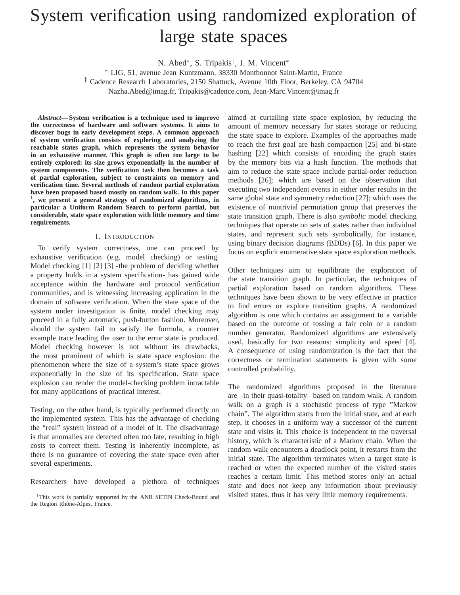# System verification using randomized exploration of large state spaces

N. Abed<sup>∗</sup> , S. Tripakis† , J. M. Vincent<sup>∗</sup>

<sup>∗</sup> LIG, 51, avenue Jean Kuntzmann, 38330 Montbonnot Saint-Martin, France † Cadence Research Laboratories, 2150 Shattuck, Avenue 10th Floor, Berkeley, CA 94704 Nazha.Abed@imag.fr, Tripakis@cadence.com, Jean-Marc.Vincent@imag.fr

*Abstract***— System verification is a technique used to improve the correctness of hardware and software systems. It aims to discover bugs in early development steps. A common approach of system verification consists of exploring and analyzing the reachable states graph, which represents the system behavior in an exhaustive manner. This graph is often too large to be entirely explored: its size grows exponentially in the number of system components. The verification task then becomes a task of partial exploration, subject to constraints on memory and verification time. Several methods of random partial exploration have been proposed based mostly on random walk. In this paper** <sup>1</sup>, we present a general strategy of randomized algorithms, in **particular a Uniform Random Search to perform partial, but considerable, state space exploration with little memory and time requirements.**

#### I. INTRODUCTION

To verify system correctness, one can proceed by exhaustive verification (e.g. model checking) or testing. Model checking [1] [2] [3] -the problem of deciding whether a property holds in a system specification- has gained wide acceptance within the hardware and protocol verification communities, and is witnessing increasing application in the domain of software verification. When the state space of the system under investigation is finite, model checking may proceed in a fully automatic, push-button fashion. Moreover, should the system fail to satisfy the formula, a counter example trace leading the user to the error state is produced. Model checking however is not without its drawbacks, the most prominent of which is state space explosion: the phenomenon where the size of a system's state space grows exponentially in the size of its specification. State space explosion can render the model-checking problem intractable for many applications of practical interest.

Testing, on the other hand, is typically performed directly on the implemented system. This has the advantage of checking the "real" system instead of a model of it. The disadvantage is that anomalies are detected often too late, resulting in high costs to correct them. Testing is inherently incomplete, as there is no guarantee of covering the state space even after several experiments.

Researchers have developed a plethora of techniques

aimed at curtailing state space explosion, by reducing the amount of memory necessary for states storage or reducing the state space to explore. Examples of the approaches made to reach the first goal are hash compaction [25] and bi-state hashing [22] which consists of encoding the graph states by the memory bits via a hash function. The methods that aim to reduce the state space include partial-order reduction methods [26]; which are based on the observation that executing two independent events in either order results in the same global state and symmetry reduction [27]; which uses the existence of nontrivial permutation group that preserves the state transition graph. There is also *symbolic* model checking techniques that operate on sets of states rather than individual states, and represent such sets symbolically, for instance, using binary decision diagrams (BDDs) [6]. In this paper we focus on explicit enumerative state space exploration methods.

Other techniques aim to equilibrate the exploration of the state transition graph. In particular, the techniques of partial exploration based on random algorithms. These techniques have been shown to be very effective in practice to find errors or explore transition graphs. A randomized algorithm is one which contains an assignment to a variable based on the outcome of tossing a fair coin or a random number generator. Randomized algorithms are extensively used, basically for two reasons: simplicity and speed [4]. A consequence of using randomization is the fact that the correctness or termination statements is given with some controlled probability.

The randomized algorithms proposed in the literature are –in their quasi-totality– based on random walk. A random walk on a graph is a stochastic process of type "Markov chain". The algorithm starts from the initial state, and at each step, it chooses in a uniform way a successor of the current state and visits it. This choice is independent to the traversal history, which is characteristic of a Markov chain. When the random walk encounters a deadlock point, it restarts from the initial state. The algorithm terminates when a target state is reached or when the expected number of the visited states reaches a certain limit. This method stores only an actual state and does not keep any information about previously visited states, thus it has very little memory requirements.

<sup>&</sup>lt;sup>1</sup>This work is partially supported by the ANR SETIN Check-Bound and the Region Rhône-Alpes, France.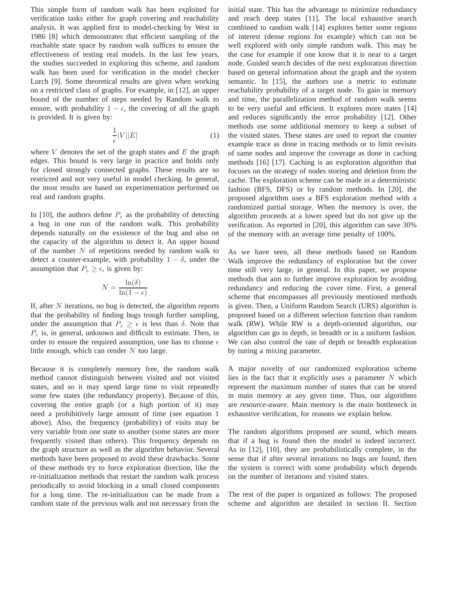This simple form of random walk has been exploited for verification tasks either for graph covering and reachability analysis. It was applied first to model-checking by West in 1986 [8] which demonstrates that efficient sampling of the reachable state space by random walk suffices to ensure the effectiveness of testing real models. In the last few years, the studies succeeded in exploring this scheme, and random walk has been used for verification in the model checker Lurch [9]. Some theoretical results are given when working on a restricted class of graphs. For example, in [12], an upper bound of the number of steps needed by Random walk to ensure, with probability  $1 - \epsilon$ , the covering of all the graph is provided. It is given by:

$$
\frac{1}{\epsilon}|V||E|\tag{1}
$$

where  $V$  denotes the set of the graph states and  $E$  the graph edges. This bound is very large in practice and holds only for closed strongly connected graphs. These results are so restricted and not very useful in model checking. In general, the most results are based on experimentation performed on real and random graphs.

In [10], the authors define  $P_z$  as the probability of detecting a bug in one run of the random walk. This probability depends naturally on the existence of the bug and also on the capacity of the algorithm to detect it. An upper bound of the number  $N$  of repetitions needed by random walk to detect a counter-example, with probability  $1 - \delta$ , under the assumption that  $P_z \geq \epsilon$ , is given by:

$$
N = \frac{\ln(\delta)}{\ln(1 - \epsilon)}
$$

If, after  $N$  iterations, no bug is detected, the algorithm reports that the probability of finding bugs trough further sampling, under the assumption that  $P_z \geq \epsilon$  is less than  $\delta$ . Note that  $P<sub>z</sub>$  is, in general, unknown and difficult to estimate. Then, in order to ensure the required assumption, one has to choose  $\epsilon$ little enough, which can render  $N$  too large.

Because it is completely memory free, the random walk method cannot distinguish between visited and not visited states, and so it may spend large time to visit repeatedly some few states (the redundancy property). Because of this, covering the entire graph (or a high portion of it) may need a prohibitively large amount of time (see equation 1 above). Also, the frequency (probability) of visits may be very variable from one state to another (some states are more frequently visited than others). This frequency depends on the graph structure as well as the algorithm behavior. Several methods have been proposed to avoid these drawbacks. Some of these methods try to force exploration direction, like the re-initialization methods that restart the random walk process periodically to avoid blocking in a small closed components for a long time. The re-initialization can be made from a random state of the previous walk and not necessary from the

initial state. This has the advantage to minimize redundancy and reach deep states [11]. The local exhaustive search combined to random walk [14] explores better some regions of interest (dense regions for example) which can not be well explored with only simple random walk. This may be the case for example if one know that it is near to a target node. Guided search decides of the next exploration direction based on general information about the graph and the system semantic. In [15], the authors use a metric to estimate reachability probability of a target node. To gain in memory and time, the parallelization method of random walk seems to be very useful and efficient. It explores more states [14] and reduces significantly the error probability [12]. Other methods use some additional memory to keep a subset of the visited states. These states are used to report the counter example trace as done in tracing methods or to limit revisits of same nodes and improve the coverage as done in caching methods [16] [17]. Caching is an exploration algorithm that focuses on the strategy of nodes storing and deletion from the cache. The exploration scheme can be made in a deterministic fashion (BFS, DFS) or by random methods. In [20], the proposed algorithm uses a BFS exploration method with a randomized partial storage. When the memory is over, the algorithm proceeds at a lower speed but do not give up the verification. As reported in [20], this algorithm can save 30% of the memory with an average time penalty of 100%.

As we have seen, all these methods based on Random Walk improve the redundancy of exploration but the cover time still very large, in general. In this paper, we propose methods that aim to further improve exploration by avoiding redundancy and reducing the cover time. First, a general scheme that encompasses all previously mentioned methods is given. Then, a Uniform Random Search (URS) algorithm is proposed based on a different selection function than random walk (RW). While RW is a depth-oriented algorithm, our algorithm can go in depth, in breadth or in a uniform fashion. We can also control the rate of depth or breadth exploration by tuning a mixing parameter.

A major novelty of our randomized exploration scheme lies in the fact that it explicitly uses a parameter  $N$  which represent the maximum number of states that can be stored in main memory at any given time. Thus, our algorithms are *resource-aware*. Main memory is the main bottleneck in exhaustive verification, for reasons we explain below.

The random algorithms proposed are sound, which means that if a bug is found then the model is indeed incorrect. As in [12], [10], they are probabilistically complete, in the sense that if after several iterations no bugs are found, then the system is correct with some probability which depends on the number of iterations and visited states.

The rest of the paper is organized as follows: The proposed scheme and algorithm are detailed in section II. Section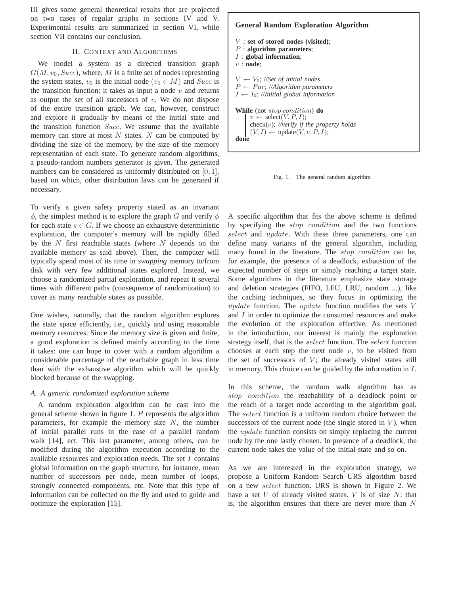III gives some general theoretical results that are projected on two cases of regular graphs in sections IV and V. Experimental results are summarized in section VI, while section VII contains our conclusion.

### II. CONTEXT AND ALGORITHMS

We model a system as a directed transition graph  $G(M, v_0, Succ)$ , where, M is a finite set of nodes representing the system states,  $v_0$  is the initial node ( $v_0 \in M$ ) and *Succ* is the transition function: it takes as input a node  $v$  and returns as output the set of all successors of  $v$ . We do not dispose of the entire transition graph. We can, however, construct and explore it gradually by means of the initial state and the transition function Succ. We assume that the available memory can store at most  $N$  states.  $N$  can be computed by dividing the size of the memory, by the size of the memory representation of each state. To generate random algorithms, a pseudo-random numbers generator is given. The generated numbers can be considered as uniformly distributed on [0, 1], based on which, other distribution laws can be generated if necessary.

To verify a given safety property stated as an invariant  $\phi$ , the simplest method is to explore the graph G and verify  $\phi$ for each state  $s \in G$ . If we choose an exhaustive deterministic exploration, the computer's memory will be rapidly filled by the  $N$  first reachable states (where  $N$  depends on the available memory as said above). Then, the computer will typically spend most of its time in *swapping* memory to/from disk with very few additional states explored. Instead, we choose a randomized partial exploration, and repeat it several times with different paths (consequence of randomization) to cover as many reachable states as possible.

One wishes, naturally, that the random algorithm explores the state space efficiently, i.e., quickly and using reasonable memory resources. Since the memory size is given and finite, a good exploration is defined mainly according to the time it takes: one can hope to cover with a random algorithm a considerable percentage of the reachable graph in less time than with the exhaustive algorithm which will be quickly blocked because of the swapping.

#### *A. A generic randomized exploration scheme*

A random exploration algorithm can be cast into the general scheme shown in figure 1. P represents the algorithm parameters, for example the memory size  $N$ , the number of initial parallel runs in the case of a parallel random walk [14], ect. This last parameter, among others, can be modified during the algorithm execution according to the available resources and exploration needs. The set  $I$  contains global information on the graph structure, for instance, mean number of successors per node, mean number of loops, strongly connected components, etc. Note that this type of information can be collected on the fly and used to guide and optimize the exploration [15].





A specific algorithm that fits the above scheme is defined by specifying the stop condition and the two functions select and update. With these three parameters, one can define many variants of the general algorithm, including many found in the literature. The stop condition can be, for example, the presence of a deadlock, exhaustion of the expected number of steps or simply reaching a target state. Some algorithms in the literature emphasize state storage and deletion strategies (FIFO, LFU, LRU, random ...), like the caching techniques, so they focus in optimizing the update function. The update function modifies the sets  $V$ and  $I$  in order to optimize the consumed resources and make the evolution of the exploration effective. As mentioned in the introduction, our interest is mainly the exploration strategy itself, that is the select function. The select function chooses at each step the next node  $v$ , to be visited from the set of successors of  $V$ ; the already visited states still in memory. This choice can be guided by the information in I.

In this scheme, the random walk algorithm has as stop condition the reachability of a deadlock point or the reach of a target node according to the algorithm goal. The select function is a uniform random choice between the successors of the current node (the single stored in  $V$ ), when the *update* function consists on simply replacing the current node by the one lastly chosen. In presence of a deadlock, the current node takes the value of the initial state and so on.

As we are interested in the exploration strategy, we propose a Uniform Random Search URS algorithm based on a new select function. URS is shown in Figure 2. We have a set  $V$  of already visited states.  $V$  is of size  $N$ : that is, the algorithm ensures that there are never more than  $N$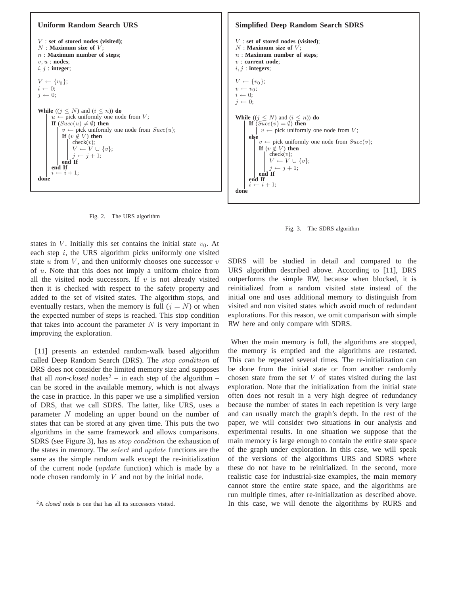# **Uniform Random Search URS** V : **set of stored nodes (visited)**;  $N$  : **Maximum size of**  $V$ : n : **Maximum number of steps**; v, u : **nodes**;  $i, j$  : **integer**;  $V \leftarrow \{v_0\};$  $i \leftarrow 0$ ;  $j \leftarrow 0;$ **While**  $((j \leq N)$  and  $(i \leq n))$  **do**  $u \leftarrow \overline{\text{pick}}$  uniformly one node from V; **If**  $(Succ(u) \neq \emptyset)$  **then**  $v \leftarrow$  pick uniformly one node from  $Succ(u)$ ; **If**  $(v \notin V)$  **then**  $check(v)$ ;  $V \leftarrow V \cup \{v\};$  $j \leftarrow j + 1;$ **end If end If**  $i \leftarrow i + 1$ ; **done**

Fig. 2. The URS algorithm

**Simplified Deep Random Search SDRS** V : **set of stored nodes (visited)**;  $N$  : **Maximum size of**  $V$ : n : **Maximum number of steps**; v : **current node**; i, j : **integers**;  $V \leftarrow \{v_0\};$  $v \leftarrow v_0;$  $i \leftarrow 0$ ;  $i \leftarrow 0$ : **While**  $((j \leq N)$  and  $(i \leq n))$  **do If**  $(Succ(v) = \emptyset)$  **then**  $\vert v \leftarrow$  pick uniformly one node from V; **else**  $v \leftarrow$  pick uniformly one node from  $Succ(v)$ ; **If**  $(v \notin V)$  **then** check $(v)$ ;  $V \leftarrow V \cup \{v\};$  $j \leftarrow j + 1;$ **end If end If**  $i \leftarrow i + 1$ ; **done**



states in V. Initially this set contains the initial state  $v_0$ . At each step  $i$ , the URS algorithm picks uniformly one visited state  $u$  from  $V$ , and then uniformly chooses one successor  $v$ of u. Note that this does not imply a uniform choice from all the visited node successors. If  $v$  is not already visited then it is checked with respect to the safety property and added to the set of visited states. The algorithm stops, and eventually restars, when the memory is full  $(j = N)$  or when the expected number of steps is reached. This stop condition that takes into account the parameter  $N$  is very important in improving the exploration.

[11] presents an extended random-walk based algorithm called Deep Random Search (DRS). The stop condition of DRS does not consider the limited memory size and supposes that all *non-closed* nodes<sup>2</sup> – in each step of the algorithm – can be stored in the available memory, which is not always the case in practice. In this paper we use a simplified version of DRS, that we call SDRS. The latter, like URS, uses a parameter N modeling an upper bound on the number of states that can be stored at any given time. This puts the two algorithms in the same framework and allows comparisons. SDRS (see Figure 3), has as *stop condition* the exhaustion of the states in memory. The select and update functions are the same as the simple random walk except the re-initialization of the current node (update function) which is made by a node chosen randomly in  $V$  and not by the initial node.

SDRS will be studied in detail and compared to the URS algorithm described above. According to [11], DRS outperforms the simple RW, because when blocked, it is reinitialized from a random visited state instead of the initial one and uses additional memory to distinguish from visited and non visited states which avoid much of redundant explorations. For this reason, we omit comparison with simple RW here and only compare with SDRS.

When the main memory is full, the algorithms are stopped, the memory is emptied and the algorithms are restarted. This can be repeated several times. The re-initialization can be done from the initial state or from another randomly chosen state from the set  $V$  of states visited during the last exploration. Note that the initialization from the initial state often does not result in a very high degree of redundancy because the number of states in each repetition is very large and can usually match the graph's depth. In the rest of the paper, we will consider two situations in our analysis and experimental results. In one situation we suppose that the main memory is large enough to contain the entire state space of the graph under exploration. In this case, we will speak of the versions of the algorithms URS and SDRS where these do not have to be reinitialized. In the second, more realistic case for industrial-size examples, the main memory cannot store the entire state space, and the algorithms are run multiple times, after re-initialization as described above. In this case, we will denote the algorithms by RURS and

<sup>2</sup>A *closed* node is one that has all its successors visited.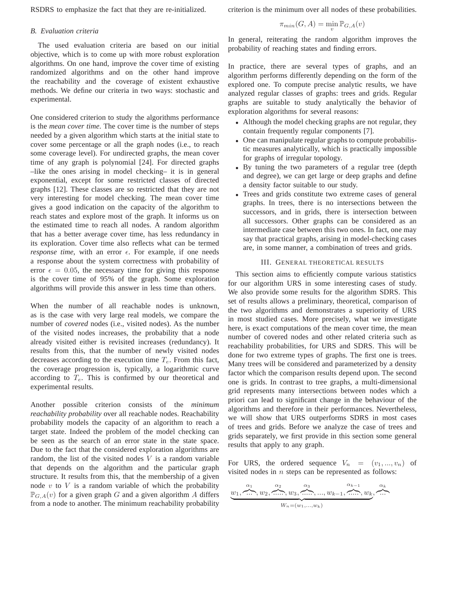RSDRS to emphasize the fact that they are re-initialized.

# criterion is the minimum over all nodes of these probabilities.

#### *B. Evaluation criteria*

The used evaluation criteria are based on our initial objective, which is to come up with more robust exploration algorithms. On one hand, improve the cover time of existing randomized algorithms and on the other hand improve the reachability and the coverage of existent exhaustive methods. We define our criteria in two ways: stochastic and experimental.

One considered criterion to study the algorithms performance is the *mean cover time*. The cover time is the number of steps needed by a given algorithm which starts at the initial state to cover some percentage or all the graph nodes (i.e., to reach some coverage level). For undirected graphs, the mean cover time of any graph is polynomial [24]. For directed graphs –like the ones arising in model checking– it is in general exponential, except for some restricted classes of directed graphs [12]. These classes are so restricted that they are not very interesting for model checking. The mean cover time gives a good indication on the capacity of the algorithm to reach states and explore most of the graph. It informs us on the estimated time to reach all nodes. A random algorithm that has a better average cover time, has less redundancy in its exploration. Cover time also reflects what can be termed *response time*, with an error  $\epsilon$ . For example, if one needs a response about the system correctness with probability of error  $\epsilon = 0.05$ , the necessary time for giving this response is the cover time of 95% of the graph. Some exploration algorithms will provide this answer in less time than others.

When the number of all reachable nodes is unknown, as is the case with very large real models, we compare the number of *covered* nodes (i.e., visited nodes). As the number of the visited nodes increases, the probability that a node already visited either is revisited increases (redundancy). It results from this, that the number of newly visited nodes decreases according to the execution time  $T_e$ . From this fact, the coverage progression is, typically, a logarithmic curve according to  $T_e$ . This is confirmed by our theoretical and experimental results.

Another possible criterion consists of the *minimum reachability probability* over all reachable nodes. Reachability probability models the capacity of an algorithm to reach a target state. Indeed the problem of the model checking can be seen as the search of an error state in the state space. Due to the fact that the considered exploration algorithms are random, the list of the visited nodes  $V$  is a random variable that depends on the algorithm and the particular graph structure. It results from this, that the membership of a given node  $v$  to  $V$  is a random variable of which the probability  $\mathbb{P}_{G,A}(v)$  for a given graph G and a given algorithm A differs from a node to another. The minimum reachability probability

$$
\pi_{min}(G, A) = \min_{v} \mathbb{P}_{G, A}(v)
$$

In general, reiterating the random algorithm improves the probability of reaching states and finding errors.

In practice, there are several types of graphs, and an algorithm performs differently depending on the form of the explored one. To compute precise analytic results, we have analyzed regular classes of graphs: trees and grids. Regular graphs are suitable to study analytically the behavior of exploration algorithms for several reasons:

- Although the model checking graphs are not regular, they contain frequently regular components [7].
- One can manipulate regular graphs to compute probabilistic measures analytically, which is practically impossible for graphs of irregular topology.
- By tuning the two parameters of a regular tree (depth and degree), we can get large or deep graphs and define a density factor suitable to our study.
- Trees and grids constitute two extreme cases of general graphs. In trees, there is no intersections between the successors, and in grids, there is intersection between all successors. Other graphs can be considered as an intermediate case between this two ones. In fact, one may say that practical graphs, arising in model-checking cases are, in some manner, a combination of trees and grids.

#### III. GENERAL THEORETICAL RESULTS

This section aims to efficiently compute various statistics for our algorithm URS in some interesting cases of study. We also provide some results for the algorithm SDRS. This set of results allows a preliminary, theoretical, comparison of the two algorithms and demonstrates a superiority of URS in most studied cases. More precisely, what we investigate here, is exact computations of the mean cover time, the mean number of covered nodes and other related criteria such as reachability probabilities, for URS and SDRS. This will be done for two extreme types of graphs. The first one is trees. Many trees will be considered and parameterized by a density factor which the comparison results depend upon. The second one is grids. In contrast to tree graphs, a multi-dimensional grid represents many intersections between nodes which a priori can lead to significant change in the behaviour of the algorithms and therefore in their performances. Nevertheless, we will show that URS outperforms SDRS in most cases of trees and grids. Before we analyze the case of trees and grids separately, we first provide in this section some general results that apply to any graph.

For URS, the ordered sequence  $V_n = (v_1, ..., v_n)$  of visited nodes in  $n$  steps can be represented as follows:

$$
\underbrace{w_1, \xrightarrow{\alpha_1} w_2, \xrightarrow{\alpha_2} w_3, \xrightarrow{\alpha_3} \dots, w_{k-1}, \xrightarrow{\alpha_{k-1}} w_k}_{W_n=(w_1,\dots,w_k)}
$$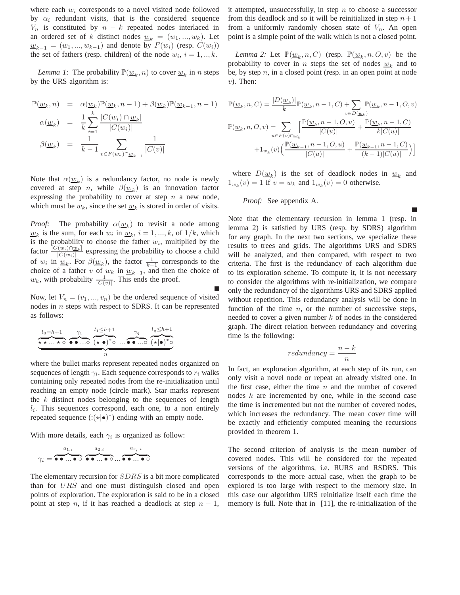where each  $w_i$  corresponds to a novel visited node followed by  $\alpha_i$  redundant visits, that is the considered sequence  $V_n$  is constituted by  $n - k$  repeated nodes interlaced in an ordered set of k distinct nodes  $w_k = (w_1, ..., w_k)$ . Let  $\underline{w}_{k-1} = (w_1, ..., w_{k-1})$  and denote by  $F(w_i)$  (resp.  $C(w_i)$ ) the set of fathers (resp. children) of the node  $w_i$ ,  $i = 1, ..., k$ .

*Lemma 1:* The probability  $\mathbb{P}(\underline{w}_k, n)$  to cover  $\underline{w}_k$  in *n* steps by the URS algorithm is:

$$
\begin{array}{rcl} \mathbb{P}(\underline{w}_k,n) & = & \alpha(\underline{w}_k)\mathbb{P}(\underline{w}_k,n-1)+\beta(\underline{w}_k)\mathbb{P}(\underline{w}_{k-1},n-1) \\[1ex] \alpha(\underline{w}_k) & = & \frac{1}{k}\sum_{i=1}^k\frac{|C(w_i)\cap\underline{w}_k|}{|C(w_i)|} \\[1ex] \beta(\underline{w}_k) & = & \frac{1}{k-1}\sum_{v\in F(w_k)\cap\underline{w}_{k-1}}\frac{1}{|C(v)|} \end{array}
$$

Note that  $\alpha(\underline{w}_k)$  is a redundancy factor, no node is newly covered at step *n*, while  $\beta(\underline{w}_k)$  is an innovation factor expressing the probability to cover at step  $n$  a new node, which must be  $w_k$ , since the set  $\underline{w}_k$  is stored in order of visits.

*Proof:* The probability  $\alpha(\underline{w}_k)$  to revisit a node among  $\underline{w}_k$  is the sum, for each  $w_i$  in  $\underline{w}_k$ ,  $i = 1, ..., k$ , of  $1/k$ , which is the probability to choose the father  $w_i$ , multiplied by the factor  $\frac{[C(w_i) \cap \underline{w}_k]}{[C(w_i)]}$  $\frac{(w_i) + w_{k_i}}{|C(w_i)|}$  expressing the probability to choose a child of  $w_i$  in  $\frac{w_k}{k}$ . For  $\beta(\underline{w}_k)$ , the factor  $\frac{1}{k-1}$  corresponds to the choice of a father v of  $w_k$  in  $\underline{w}_{k-1}$ , and then the choice of  $w_k$ , with probability  $\frac{1}{|C(v)|}$ . This ends the proof.

Now, let  $V_n = (v_1, ..., v_n)$  be the ordered sequence of visited nodes in  $n$  steps with respect to SDRS. It can be represented as follows:

$$
\underbrace{1_0=h+1}_{\text{min}} \underbrace{\gamma_1}_{\text{min}} \underbrace{1_1 \leq h+1}_{\text{(min)} \leq \dots \cdot \cdot \cdot \cdot} \underbrace{\gamma_q}_{\text{min}} \underbrace{1_q \leq h+1}_{\text{(min)} \leq \dots \cdot \cdot \cdot}
$$

where the bullet marks represent repeated nodes organized on sequences of length  $\gamma_i$ . Each sequence corresponds to  $r_i$  walks containing only repeated nodes from the re-initialization until reaching an empty node (circle mark). Star marks represent the  $k$  distinct nodes belonging to the sequences of length  $l_i$ . This sequences correspond, each one, to a non entirely repeated sequence  $((\star| \bullet)^*)$  ending with an empty node.

With more details, each  $\gamma_i$  is organized as follow:

$$
\gamma_i=\overbrace{\bullet\bullet\dots\bullet\circ}^{a_{1,i}}\overbrace{\bullet\bullet\dots\bullet\circ}^{a_{2,i}}\dots\overbrace{\bullet\bullet\dots\bullet\circ}^{a_{r_i,i}}
$$

The elementary recursion for *SDRS* is a bit more complicated than for URS and one must distinguish closed and open points of exploration. The exploration is said to be in a closed point at step n, if it has reached a deadlock at step  $n - 1$ , it attempted, unsuccessfully, in step  $n$  to choose a successor from this deadlock and so it will be reinitialized in step  $n + 1$ from a uniformly randomly chosen state of  $V_n$ . An open point is a simple point of the walk which is not a closed point.

*Lemma 2:* Let  $\mathbb{P}(\underline{w}_k, n, C)$  (resp.  $\mathbb{P}(\underline{w}_k, n, O, v)$  be the probability to cover in *n* steps the set of nodes  $\underline{w}_k$  and to be, by step  $n$ , in a closed point (resp. in an open point at node  $v)$ . Then:

$$
\mathbb{P}(\underline{w}_k, n, C) = \frac{|D(\underline{w}_k)|}{k} \mathbb{P}(\underline{w}_k, n-1, C) + \sum_{v \in D(\underline{w}_k)} \mathbb{P}(\underline{w}_k, n-1, O, v)
$$

$$
\mathbb{P}(\underline{w}_k, n, O, v) = \sum_{u \in F(v) \cap \underline{w}_k} \left[ \frac{\mathbb{P}(\underline{w}_k, n-1, O, u)}{|C(u)|} + \frac{\mathbb{P}(\underline{w}_k, n-1, C)}{k|C(u)|} \right.
$$

$$
+ 1_{w_k}(v) \left( \frac{\mathbb{P}(\underline{w}_{k-1}, n-1, O, u)}{|C(u)|} + \frac{\mathbb{P}(\underline{w}_{k-1}, n-1, C)}{(k-1)|C(u)|} \right)
$$

where  $D(\underline{w}_k)$  is the set of deadlock nodes in  $\underline{w}_k$  and  $1_{w_k}(v) = 1$  if  $v = w_k$  and  $1_{w_k}(v) = 0$  otherwise.

## *Proof:* See appendix A.

Note that the elementary recursion in lemma 1 (resp. in lemma 2) is satisfied by URS (resp. by SDRS) algorithm for any graph. In the next two sections, we specialize these results to trees and grids. The algorithms URS and SDRS will be analyzed, and then compared, with respect to two criteria. The first is the redundancy of each algorithm due to its exploration scheme. To compute it, it is not necessary to consider the algorithms with re-initialization, we compare only the redundancy of the algorithms URS and SDRS applied without repetition. This redundancy analysis will be done in function of the time  $n$ , or the number of successive steps, needed to cover a given number  $k$  of nodes in the considered graph. The direct relation between redundancy and covering time is the following:

$$
redundancy = \frac{n-k}{n}
$$

In fact, an exploration algorithm, at each step of its run, can only visit a novel node or repeat an already visited one. In the first case, either the time  $n$  and the number of covered nodes  $k$  are incremented by one, while in the second case the time is incremented but not the number of covered nodes, which increases the redundancy. The mean cover time will be exactly and efficiently computed meaning the recursions provided in theorem 1.

The second criterion of analysis is the mean number of covered nodes. This will be considered for the repeated versions of the algorithms, i.e. RURS and RSDRS. This corresponds to the more actual case, when the graph to be explored is too large with respect to the memory size. In this case our algorithm URS reinitialize itself each time the memory is full. Note that in [11], the re-initialization of the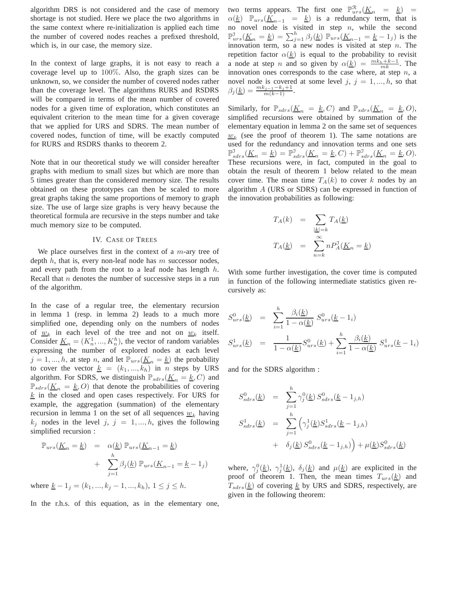algorithm DRS is not considered and the case of memory shortage is not studied. Here we place the two algorithms in the same context where re-initialization is applied each time the number of covered nodes reaches a prefixed threshold, which is, in our case, the memory size.

In the context of large graphs, it is not easy to reach a coverage level up to 100%. Also, the graph sizes can be unknown, so, we consider the number of covered nodes rather than the coverage level. The algorithms RURS and RSDRS will be compared in terms of the mean number of covered nodes for a given time of exploration, which constitutes an equivalent criterion to the mean time for a given coverage that we applied for URS and SDRS. The mean number of covered nodes, function of time, will be exactly computed for RURS and RSDRS thanks to theorem 2.

Note that in our theoretical study we will consider hereafter graphs with medium to small sizes but which are more than 5 times greater than the considered memory size. The results obtained on these prototypes can then be scaled to more great graphs taking the same proportions of memory to graph size. The use of large size graphs is very heavy because the theoretical formula are recursive in the steps number and take much memory size to be computed.

## IV. CASE OF TREES

We place ourselves first in the context of a  $m$ -ary tree of depth  $h$ , that is, every non-leaf node has  $m$  successor nodes, and every path from the root to a leaf node has length  $h$ . Recall that  $n$  denotes the number of successive steps in a run of the algorithm.

In the case of a regular tree, the elementary recursion in lemma 1 (resp. in lemma 2) leads to a much more simplified one, depending only on the numbers of nodes of  $\underline{w}_k$  in each level of the tree and not on  $\underline{w}_k$  itself. Consider  $\underline{K}_n = (K_n^1, ..., K_n^h)$ , the vector of random variables expressing the number of explored nodes at each level  $j = 1, ..., h$ , at step n, and let  $\mathbb{P}_{urs}(\underline{K}_n = \underline{k})$  the probability to cover the vector  $\underline{k} = (k_1, ..., k_h)$  in n steps by URS algorithm. For SDRS, we distinguish  $\mathbb{P}_{sdrs}(\underline{K}_n = \underline{k}, C)$  and  $\mathbb{P}_{sdrs}(\underline{K}_n = k, 0)$  that denote the probabilities of covering  $k$  in the closed and open cases respectively. For URS for example, the aggregation (summation) of the elementary recursion in lemma 1 on the set of all sequences  $\underline{w}_k$  having  $k_j$  nodes in the level j,  $j = 1, ..., h$ , gives the following simplified recursion :

$$
\mathbb{P}_{urs}(\underline{K}_n = \underline{k}) = \alpha(\underline{k}) \, \mathbb{P}_{urs}(\underline{K}_{n-1} = \underline{k}) \n+ \sum_{j=1}^h \beta_j(\underline{k}) \, \mathbb{P}_{urs}(\underline{K}_{n-1} = \underline{k} - 1_j) \n\text{where } \underline{k} - 1_j = (k_1, ..., k_j - 1, ..., k_h), \, 1 \le j \le h.
$$

In the r.h.s. of this equation, as in the elementary one,

two terms appears. The first one  $\mathbb{P}^{\mathcal{R}}_{urs}(\underline{K}_n = \underline{k}) =$  $\alpha(\underline{k})$   $\mathbb{P}_{urs}(\underline{K}_{n-1} = \underline{k})$  is a redundancy term, that is no novel node is visited in step  $n$ , while the second  $\mathbb{P}^{\mathcal{I}}_{urs}(\underline{K}_n = \underline{k}) = \sum_{j=1}^{h} \beta_j(\underline{k}) \; \mathbb{P}_{urs}(\underline{K}_{n-1} = \underline{k} - 1_j)$  is the innovation term, so a new nodes is visited at step  $n$ . The repetition factor  $\alpha(\underline{k})$  is equal to the probability to revisit a node at step *n* and so given by  $\alpha(\underline{k}) = \frac{mk_h + k - 1}{mk}$ . The innovation ones corresponds to the case where, at step  $n$ , a novel node is covered at some level j,  $j = 1, ..., h$ , so that  $\beta_j(\underline{k}) = \frac{mk_{j-1} - k_j + 1}{m(k-1)}$ .

Similarly, for  $\mathbb{P}_{sdrs}(\underline{K}_n = \underline{k}, C)$  and  $\mathbb{P}_{sdrs}(\underline{K}_n = \underline{k}, O)$ , simplified recursions were obtained by summation of the elementary equation in lemma 2 on the same set of sequences  $\underline{w}_k$  (see the proof of theorem 1). The same notations are used for the redundancy and innovation terms and one sets  $\mathbb{P}^{\mathcal{I}}_{slrs}(\underline{K}_n = \underline{k}) = \mathbb{P}^{\mathcal{I}}_{slrs}(\underline{K}_n = \underline{k}, C) + \mathbb{P}^{\mathcal{I}}_{slrs}(\underline{K}_n = \underline{k}, C).$ These recursions were, in fact, computed in the goal to obtain the result of theorem 1 below related to the mean cover time. The mean time  $T_A(k)$  to cover k nodes by an algorithm A (URS or SDRS) can be expressed in function of the innovation probabilities as following:

$$
T_A(k) = \sum_{|\underline{k}|=k} T_A(\underline{k})
$$
  

$$
T_A(\underline{k}) = \sum_{n=k}^{\infty} n P_A^{\mathcal{I}}(\underline{K}_n = \underline{k})
$$

With some further investigation, the cover time is computed in function of the following intermediate statistics given recursively as:

$$
S_{urs}^{0}(\underline{k}) = \sum_{i=1}^{h} \frac{\beta_i(\underline{k})}{1 - \alpha(\underline{k})} S_{urs}^{0}(\underline{k} - 1_i)
$$
  

$$
S_{urs}^{1}(\underline{k}) = \frac{1}{1 - \alpha(\underline{k})} S_{urs}^{0}(\underline{k}) + \sum_{i=1}^{h} \frac{\beta_i(\underline{k})}{1 - \alpha(\underline{k})} S_{urs}^{1}(\underline{k} - 1_i)
$$

and for the SDRS algorithm :

$$
S_{sdrs}^{0}(\underline{k}) = \sum_{j=1}^{h} \gamma_{j}^{0}(\underline{k}) S_{sdrs}^{0}(\underline{k} - 1_{j,h})
$$
  

$$
S_{sdrs}^{1}(\underline{k}) = \sum_{j=1}^{h} (\gamma_{j}^{1}(\underline{k}) S_{sdrs}^{1}(\underline{k} - 1_{j,h}) + \delta_{j}(\underline{k}) S_{sdrs}^{0}(\underline{k} - 1_{j,h}) + \mu(\underline{k}) S_{sdrs}^{0}(\underline{k})
$$

where,  $\gamma_j^0(\underline{k})$ ,  $\gamma_j^1(\underline{k})$ ,  $\delta_j(\underline{k})$  and  $\mu(\underline{k})$  are explicited in the proof of theorem 1. Then, the mean times  $T_{urs}(\underline{k})$  and  $T_{sdrs}(\underline{k})$  of covering  $\underline{k}$  by URS and SDRS, respectively, are given in the following theorem: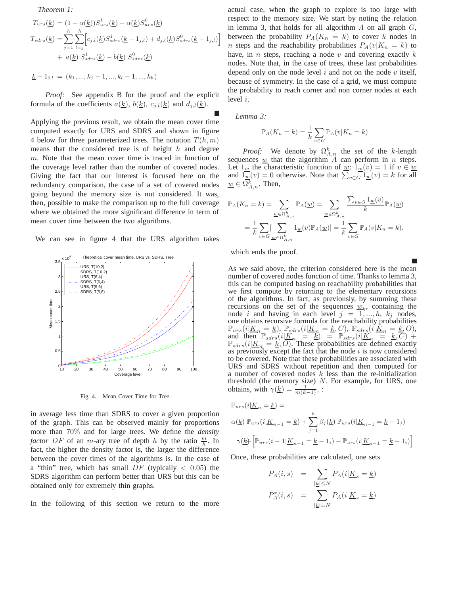*Theorem 1:*

$$
T_{urs}(\underline{k}) = (1 - \alpha(\underline{k})) S_{urs}^1(\underline{k}) - \alpha(\underline{k}) S_{urs}^0(\underline{k})
$$
  
\n
$$
T_{sdrs}(\underline{k}) = \sum_{j=1}^h \sum_{l=j}^h \Big[ c_{j,l}(\underline{k}) S_{sdrs}^1(\underline{k} - 1_{j,l}) + d_{j,l}(\underline{k}) S_{sdrs}^0(\underline{k} - 1_{j,l}) \Big]
$$
  
\n
$$
+ \alpha(\underline{k}) S_{sdrs}^1(\underline{k}) - b(\underline{k}) S_{sdrs}^0(\underline{k})
$$

 $k-1_{j,l} = (k_1, ..., k_j-1, ..., k_l-1, ..., k_h)$ 

*Proof:* See appendix B for the proof and the explicit formula of the coefficients  $a(\underline{k})$ ,  $b(\underline{k})$ ,  $c_{i,l}(\underline{k})$  and  $d_{i,l}(\underline{k})$ .

Applying the previous result, we obtain the mean cover time computed exactly for URS and SDRS and shown in figure 4 below for three parameterized trees. The notation  $T(h, m)$ means that the considered tree is of height  $h$  and degree m. Note that the mean cover time is traced in function of the coverage level rather than the number of covered nodes. Giving the fact that our interest is focused here on the redundancy comparison, the case of a set of covered nodes going beyond the memory size is not considered. It was, then, possible to make the comparison up to the full coverage where we obtained the more significant difference in term of mean cover time between the two algorithms.

We can see in figure 4 that the URS algorithm takes



Fig. 4. Mean Cover Time for Tree

in average less time than SDRS to cover a given proportion of the graph. This can be observed mainly for proportions more than 70% and for large trees. We define the *density factor DF* of an *m*-ary tree of depth *h* by the ratio  $\frac{m}{h}$ . In fact, the higher the density factor is, the larger the difference between the cover times of the algorithms is. In the case of a "thin" tree, which has small  $DF$  (typically  $\lt$  0.05) the SDRS algorithm can perform better than URS but this can be obtained only for extremely thin graphs.

In the following of this section we return to the more

actual case, when the graph to explore is too large with respect to the memory size. We start by noting the relation in lemma 3, that holds for all algorithm  $A$  on all graph  $G$ , between the probability  $P_A(K_n = k)$  to cover k nodes in *n* steps and the reachability probabilities  $P_A(v|K_n = k)$  to have, in  $n$  steps, reaching a node  $v$  and covering exactly  $k$ nodes. Note that, in the case of trees, these last probabilities depend only on the node level  $i$  and not on the node  $v$  itself, because of symmetry. In the case of a grid, we must compute the probability to reach corner and non corner nodes at each level i.

*Lemma 3:*

$$
\mathbb{P}_A(K_n = k) = \frac{1}{k} \sum_{v \in G} \mathbb{P}_A(v|K_n = k)
$$

*Proof:* We denote by  $\Omega_{A,n}^k$  the set of the k-length sequences  $\underline{w}$  that the algorithm  $\overline{A}$  can perform in  $n$  steps. Let  $1_{\underline{w}}$  the characteristic function of <u>w</u>:  $1_{\underline{w}}(v) = 1$  if  $v \in \underline{w}$ and  $1\overline{w}(v) = 0$  otherwise. Note that  $\sum_{v \in G} 1\overline{w}(v) = k$  for all  $\underline{w} \in \Omega_{A,n}^k$ . Then,

$$
\mathbb{P}_A(K_n = k) = \sum_{\underline{w} \in \Omega_{A,n}^k} \mathbb{P}_A(\underline{w}) = \sum_{\underline{w} \in \Omega_{A,n}^k} \frac{\sum_{v \in G} 1_{\underline{w}}(v)}{k} \mathbb{P}_A(\underline{w})
$$

$$
= \frac{1}{k} \sum_{v \in G} \sum_{\underline{w} \in \Omega_{A,n}^k} 1_{\underline{w}}(v) \mathbb{P}_A(\underline{w}) = \frac{1}{k} \sum_{v \in G} \mathbb{P}_A(v|K_n = k).
$$

which ends the proof.

As we said above, the criterion considered here is the mean number of covered nodes function of time. Thanks to lemma 3, this can be computed basing on reachability probabilities that we first compute by returning to the elementary recursions of the algorithms. In fact, as previously, by summing these recursions on the set of the sequences  $\underline{w}_k$ , containing the node *i* and having in each level  $j = 1, ..., h, k_j$  nodes, one obtains recursive formula for the reachability probabilities  $\mathbb{P}_{urs}(i|\underline{K}_n = k), \mathbb{P}_{sdrs}(i|\underline{K}_n = k, C), \mathbb{P}_{sdrs}(i|\underline{K}_n = k, O),$ and then  $\mathbb{P}_{sdrs}(i|\underline{\tilde{K}}_n = k) = \mathbb{P}_{sdrs}(i|\underline{\tilde{K}}_n = k, \overline{C}) +$  $\mathbb{P}_{sdrs}(i|\underline{K}_n = \underline{k}, 0)$ . These probabilities are defined exactly as previously except the fact that the node  $i$  is now considered to be covered. Note that these probabilities are associated with URS and SDRS without repetition and then computed for a number of covered nodes  $k$  less than the re-initialization threshold (the memory size)  $N$ . For example, for URS, one obtains, with  $\gamma(\underline{k}) = \frac{1}{m(k-1)}$ , :

$$
\mathbb{P}_{urs}(i|\underline{K}_n = \underline{k}) =
$$
\n
$$
\alpha(\underline{k}) \mathbb{P}_{urs}(i|\underline{K}_{n-1} = \underline{k}) + \sum_{j=1}^h \beta_j(\underline{k}) \mathbb{P}_{urs}(i|\underline{K}_{n-1} = \underline{k} - 1_j)
$$
\n
$$
\gamma(\underline{k}) \left[ \mathbb{P}_{urs}(i-1|\underline{K}_{n-1} = \underline{k} - 1_i) - \mathbb{P}_{urs}(i|\underline{K}_{n-1} = \underline{k} - 1_i) \right]
$$

Once, these probabilities are calculated, one sets

$$
P_A(i, s) = \sum_{|\underline{k}| \le N} P_A(i | \underline{K}_s = \underline{k})
$$
  

$$
P_A^*(i, s) = \sum_{|\underline{k}| = N} P_A(i | \underline{K}_s = \underline{k})
$$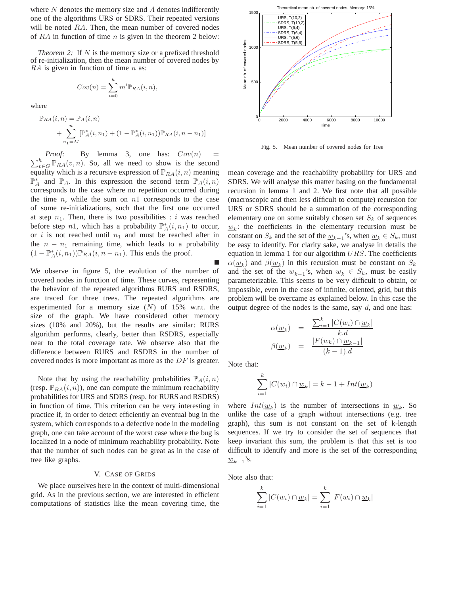where  $N$  denotes the memory size and  $A$  denotes indifferently one of the algorithms URS or SDRS. Their repeated versions will be noted RA. Then, the mean number of covered nodes of  $RA$  in function of time n is given in the theorem 2 below:

*Theorem 2:* If N is the memory size or a prefixed threshold of re-initialization, then the mean number of covered nodes by  $RA$  is given in function of time  $n$  as:

$$
Cov(n) = \sum_{i=0}^{h} m^i \mathbb{P}_{RA}(i, n),
$$

where

$$
\mathbb{P}_{RA}(i, n) = \mathbb{P}_A(i, n) + \sum_{n_1=M}^{n} [\mathbb{P}_A^*(i, n_1) + (1 - \mathbb{P}_A^*(i, n_1)) \mathbb{P}_{RA}(i, n - n_1)]
$$

 $\sum_{v \in G}^{h} \mathbb{P}_{RA}(v, n)$ . So, all we need to show is the second *Proof:* By lemma 3, one has:  $Cov(n)$ equality which is a recursive expression of  $\mathbb{P}_{RA}(i, n)$  meaning  $\mathbb{P}_{A}^{*}$  and  $\mathbb{P}_{A}$ . In this expression the second term  $\mathbb{P}_{A}(i,n)$ corresponds to the case where no repetition occurred during the time  $n$ , while the sum on  $n1$  corresponds to the case of some re-initializations, such that the first one occurred at step  $n_1$ . Then, there is two possibilities : i was reached before step n1, which has a probability  $\mathbb{P}_{A}^{*}(i, n_1)$  to occur, or i is not reached until  $n_1$  and must be reached after in the  $n - n_1$  remaining time, which leads to a probability  $(1 - \mathbb{P}_A^*(i, n_1)) \mathbb{P}_{RA}(i, n - n_1)$ . This ends the proof.

We observe in figure 5, the evolution of the number of covered nodes in function of time. These curves, representing the behavior of the repeated algorithms RURS and RSDRS, are traced for three trees. The repeated algorithms are experimented for a memory size  $(N)$  of 15% w.r.t. the size of the graph. We have considered other memory sizes (10% and 20%), but the results are similar: RURS algorithm performs, clearly, better than RSDRS, especially near to the total coverage rate. We observe also that the difference between RURS and RSDRS in the number of covered nodes is more important as more as the DF is greater.

Note that by using the reachability probabilities  $\mathbb{P}_A(i,n)$ (resp.  $\mathbb{P}_{RA}(i, n)$ ), one can compute the minimum reachability probabilities for URS and SDRS (resp. for RURS and RSDRS) in function of time. This criterion can be very interesting in practice if, in order to detect efficiently an eventual bug in the system, which corresponds to a defective node in the modeling graph, one can take account of the worst case where the bug is localized in a node of minimum reachability probability. Note that the number of such nodes can be great as in the case of tree like graphs.

#### V. CASE OF GRIDS

We place ourselves here in the context of multi-dimensional grid. As in the previous section, we are interested in efficient computations of statistics like the mean covering time, the



Fig. 5. Mean number of covered nodes for Tree

mean coverage and the reachability probability for URS and SDRS. We will analyse this matter basing on the fundamental recursion in lemma 1 and 2. We first note that all possible (macroscopic and then less difficult to compute) recursion for URS or SDRS should be a summation of the corresponding elementary one on some suitably chosen set  $S_k$  of sequences  $\underline{w}_k$ : the coefficients in the elementary recursion must be constant on  $S_k$  and the set of the  $\underline{w}_{k-1}$ 's, when  $\underline{w}_k \in S_k$ , must be easy to identify. For clarity sake, we analyse in details the equation in lemma 1 for our algorithm  $URS$ . The coefficients  $\alpha(\underline{w}_k)$  and  $\beta(\underline{w}_k)$  in this recursion must be constant on  $S_k$ and the set of the  $\underline{w}_{k-1}$ 's, when  $\underline{w}_k \in S_k$ , must be easily parameterizable. This seems to be very difficult to obtain, or impossible, even in the case of infinite, oriented, grid, but this problem will be overcame as explained below. In this case the output degree of the nodes is the same, say  $d$ , and one has:

$$
\alpha(\underline{w}_k) = \frac{\sum_{i=1}^k |C(w_i) \cap \underline{w}_k|}{k.d}
$$

$$
\beta(\underline{w}_k) = \frac{|F(w_k) \cap \underline{w}_{k-1}|}{(k-1).d}
$$

Note that:

П

$$
\sum_{i=1}^{k} |C(w_i) \cap \underline{w}_k| = k - 1 + Int(\underline{w}_k)
$$

where  $Int(\underline{w}_k)$  is the number of intersections in  $\underline{w}_k$ . So unlike the case of a graph without intersections (e.g. tree graph), this sum is not constant on the set of k-length sequences. If we try to consider the set of sequences that keep invariant this sum, the problem is that this set is too difficult to identify and more is the set of the corresponding  $\frac{w_{k-1}}{s}$ .

Note also that:

$$
\sum_{i=1}^{k} |C(w_i) \cap \underline{w}_k| = \sum_{i=1}^{k} |F(w_i) \cap \underline{w}_k|
$$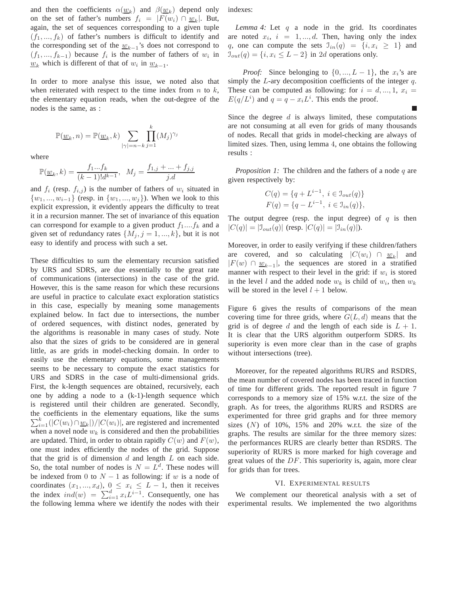and then the coefficients  $\alpha(\underline{w}_k)$  and  $\beta(\underline{w}_k)$  depend only on the set of father's numbers  $f_i = |F(w_i) \cap \underline{w}_k|$ . But, again, the set of sequences corresponding to a given tuple  $(f_1, ..., f_k)$  of father's numbers is difficult to identify and the corresponding set of the  $\underline{w}_{k-1}$ 's does not correspond to  $(f_1, ..., f_{k-1})$  because  $f_i$  is the number of fathers of  $w_i$  in  $\underline{w}_k$  which is different of that of  $w_i$  in  $\underline{w}_{k-1}$ .

In order to more analyse this issue, we noted also that when reiterated with respect to the time index from  $n$  to  $k$ , the elementary equation reads, when the out-degree of the nodes is the same, as :

$$
\mathbb{P}(\underline{w}_k, n) = \mathbb{P}(\underline{w}_k, k) \sum_{|\gamma|=n-k} \prod_{j=1}^k (M_j)^{\gamma_j}
$$

where

$$
\mathbb{P}(\underline{w}_k, k) = \frac{f_1...f_k}{(k-1)!d^{k-1}}, \quad M_j = \frac{f_{1,j} + ... + f_{j,j}}{j.d}
$$

and  $f_i$  (resp.  $f_{i,j}$ ) is the number of fathers of  $w_i$  situated in  $\{w_1, ..., w_{i-1}\}\$  (resp. in  $\{w_1, ..., w_j\}$ ). When we look to this explicit expression, it evidently appears the difficulty to treat it in a recursion manner. The set of invariance of this equation can correspond for example to a given product  $f_1...f_k$  and a given set of redundancy rates  $\{M_j, j = 1, ..., k\}$ , but it is not easy to identify and process with such a set.

These difficulties to sum the elementary recursion satisfied by URS and SDRS, are due essentially to the great rate of communications (intersections) in the case of the grid. However, this is the same reason for which these recursions are useful in practice to calculate exact exploration statistics in this case, especially by meaning some managements explained below. In fact due to intersections, the number of ordered sequences, with distinct nodes, generated by the algorithms is reasonable in many cases of study. Note also that the sizes of grids to be considered are in general little, as are grids in model-checking domain. In order to easily use the elementary equations, some managements seems to be necessary to compute the exact statistics for URS and SDRS in the case of multi-dimensional grids. First, the k-length sequences are obtained, recursively, each one by adding a node to a (k-1)-length sequence which is registered until their children are generated. Secondly, the coefficients in the elementary equations, like the sums  $\sum_{i=1}^{k} (|C(w_i) \cap \underline{w}_k|) / |C(w_i)|$ , are registered and incremented when a novel node  $w_k$  is considered and then the probabilities are updated. Third, in order to obtain rapidly  $C(w)$  and  $F(w)$ , one must index efficiently the nodes of the grid. Suppose that the grid is of dimension  $d$  and length  $L$  on each side. So, the total number of nodes is  $N = L<sup>d</sup>$ . These nodes will be indexed from 0 to  $N - 1$  as following: if w is a node of coordinates  $(x_1, ..., x_d)$ ,  $0 \le x_i \le L - 1$ , then it receives the index  $ind(w) = \sum_{i=1}^{d} x_i L^{i-1}$ . Consequently, one has the following lemma where we identify the nodes with their indexes:

*Lemma 4:* Let  $q$  a node in the grid. Its coordinates are noted  $x_i$ ,  $i = 1, ..., d$ . Then, having only the index q, one can compute the sets  $\mathcal{I}_{in}(q) = \{i, x_i \geq 1\}$  and  $\mathcal{I}_{out}(q) = \{i, x_i \leq L - 2\}$  in 2d operations only.

*Proof:* Since belonging to  $\{0, ..., L-1\}$ , the  $x_i$ 's are simply the  $L$ -ary decomposition coefficients of the integer  $q$ . These can be computed as following: for  $i = d, ..., 1, x_i =$  $E(q/L<sup>i</sup>)$  and  $q = q - x_i L<sup>i</sup>$ . This ends the proof.

Since the degree  $d$  is always limited, these computations are not consuming at all even for grids of many thousands of nodes. Recall that grids in model-checking are always of limited sizes. Then, using lemma 4, one obtains the following results :

*Proposition 1:* The children and the fathers of a node q are given respectively by:

$$
C(q) = \{q + L^{i-1}, i \in \mathcal{I}_{out}(q)\}
$$
  

$$
F(q) = \{q - L^{i-1}, i \in \mathcal{I}_{in}(q)\},\
$$

The output degree (resp. the input degree) of  $q$  is then  $|C(q)| = |\mathfrak{I}_{out}(q)|$  (resp.  $|C(q)| = |\mathfrak{I}_{in}(q)|$ ).

Moreover, in order to easily verifying if these children/fathers are covered, and so calculating  $|C(w_i)| \cap \underline{w}_k|$  and  $|F(w) \cap \underline{w}_{k-1}|$ , the sequences are stored in a stratified manner with respect to their level in the grid: if  $w_i$  is stored in the level l and the added node  $w_k$  is child of  $w_i$ , then  $w_k$ will be stored in the level  $l + 1$  below.

Figure 6 gives the results of comparisons of the mean covering time for three grids, where  $G(L, d)$  means that the grid is of degree d and the length of each side is  $L + 1$ . It is clear that the URS algorithm outperform SDRS. Its superiority is even more clear than in the case of graphs without intersections (tree).

Moreover, for the repeated algorithms RURS and RSDRS, the mean number of covered nodes has been traced in function of time for different grids. The reported result in figure 7 corresponds to a memory size of 15% w.r.t. the size of the graph. As for trees, the algorithms RURS and RSDRS are experimented for three grid graphs and for three memory sizes  $(N)$  of 10%, 15% and 20% w.r.t. the size of the graphs. The results are similar for the three memory sizes: the performances RURS are clearly better than RSDRS. The superiority of RURS is more marked for high coverage and great values of the  $DF$ . This superiority is, again, more clear for grids than for trees.

## VI. EXPERIMENTAL RESULTS

We complement our theoretical analysis with a set of experimental results. We implemented the two algorithms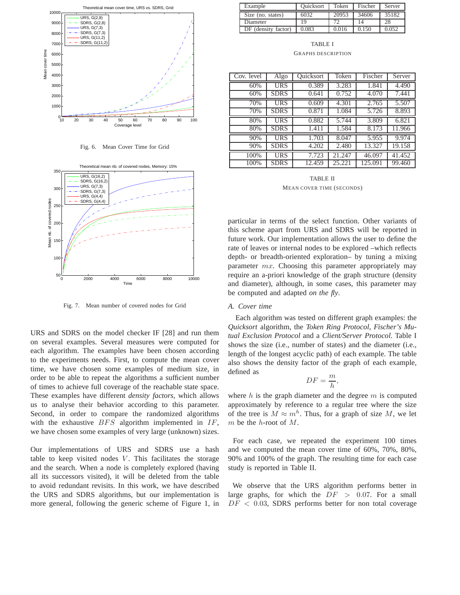

Fig. 6. Mean Cover Time for Grid



Fig. 7. Mean number of covered nodes for Grid

URS and SDRS on the model checker IF [28] and run them on several examples. Several measures were computed for each algorithm. The examples have been chosen according to the experiments needs. First, to compute the mean cover time, we have chosen some examples of medium size, in order to be able to repeat the algorithms a sufficient number of times to achieve full coverage of the reachable state space. These examples have different *density factors*, which allows us to analyse their behavior according to this parameter. Second, in order to compare the randomized algorithms with the exhaustive  $BFS$  algorithm implemented in  $IF$ , we have chosen some examples of very large (unknown) sizes.

Our implementations of URS and SDRS use a hash table to keep visited nodes  $V$ . This facilitates the storage and the search. When a node is completely explored (having all its successors visited), it will be deleted from the table to avoid redundant revisits. In this work, we have described the URS and SDRS algorithms, but our implementation is more general, following the generic scheme of Figure 1, in

| Example             | <b>Ouicksort</b> | Token | Fischer | Server |
|---------------------|------------------|-------|---------|--------|
| Size (no. states)   | 6032             | 20953 | 34606   | 35182  |
| Diameter            |                  |       |         | 28     |
| DF (density factor) | 0.083            | 0.016 | 0.150   | 0.052  |

TABLE I GRAPHS DESCRIPTION

| Cov. level | Algo        | <b>Ouicksort</b> | Token  | Fischer | Server |
|------------|-------------|------------------|--------|---------|--------|
| 60%        | <b>URS</b>  | 0.389            | 3.283  | 1.841   | 4.490  |
| 60%        | <b>SDRS</b> | 0.641            | 0.752  | 4.070   | 7.441  |
| 70%        | <b>URS</b>  | 0.609            | 4.301  | 2.765   | 5.507  |
| 70%        | <b>SDRS</b> | 0.871            | 1.084  | 5.726   | 8.893  |
| 80%        | <b>URS</b>  | 0.882            | 5.744  | 3.809   | 6.821  |
| 80%        | <b>SDRS</b> | 1.411            | 1.584  | 8.173   | 11.966 |
| 90%        | <b>URS</b>  | 1.703            | 8.047  | 5.955   | 9.974  |
| 90%        | <b>SDRS</b> | 4.202            | 2.480  | 13.327  | 19.158 |
| 100%       | <b>URS</b>  | 7.723            | 21.247 | 46.097  | 41.452 |
| 100%       | <b>SDRS</b> | 12.459           | 25.221 | 125.091 | 99.460 |

TABLE II MEAN COVER TIME (SECONDS)

particular in terms of the select function. Other variants of this scheme apart from URS and SDRS will be reported in future work. Our implementation allows the user to define the rate of leaves or internal nodes to be explored –which reflects depth- or breadth-oriented exploration– by tuning a mixing parameter  $mx$ . Choosing this parameter appropriately may require an a-priori knowledge of the graph structure (density and diameter), although, in some cases, this parameter may be computed and adapted *on the fly*.

## *A. Cover time*

Each algorithm was tested on different graph examples: the *Quicksort* algorithm, the *Token Ring Protocol*, *Fischer's Mutual Exclusion Protocol* and a *Client/Server Protocol*. Table I shows the size (i.e., number of states) and the diameter (i.e., length of the longest acyclic path) of each example. The table also shows the density factor of the graph of each example, defined as

$$
DF = \frac{m}{h},
$$

where  $h$  is the graph diameter and the degree  $m$  is computed approximately by reference to a regular tree where the size of the tree is  $M \approx m^h$ . Thus, for a graph of size M, we let m be the h-root of  $M$ .

For each case, we repeated the experiment 100 times and we computed the mean cover time of 60%, 70%, 80%, 90% and 100% of the graph. The resulting time for each case study is reported in Table II.

We observe that the URS algorithm performs better in large graphs, for which the  $DF > 0.07$ . For a small  $DF < 0.03$ , SDRS performs better for non total coverage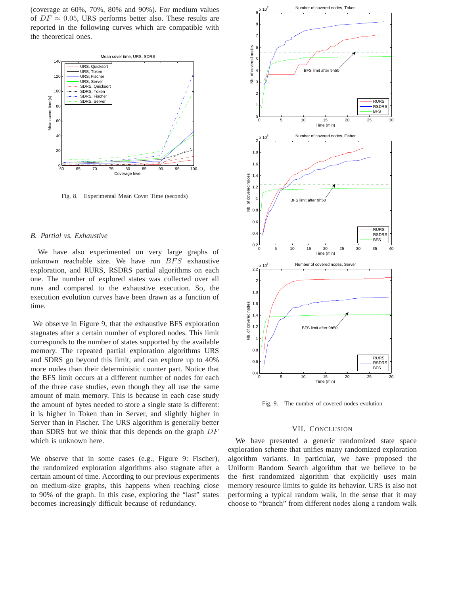(coverage at 60%, 70%, 80% and 90%). For medium values of  $DF \approx 0.05$ , URS performs better also. These results are reported in the following curves which are compatible with the theoretical ones.



Fig. 8. Experimental Mean Cover Time (seconds)

#### *B. Partial vs. Exhaustive*

We have also experimented on very large graphs of unknown reachable size. We have run  $BFS$  exhaustive exploration, and RURS, RSDRS partial algorithms on each one. The number of explored states was collected over all runs and compared to the exhaustive execution. So, the execution evolution curves have been drawn as a function of time.

We observe in Figure 9, that the exhaustive BFS exploration stagnates after a certain number of explored nodes. This limit corresponds to the number of states supported by the available memory. The repeated partial exploration algorithms URS and SDRS go beyond this limit, and can explore up to 40% more nodes than their deterministic counter part. Notice that the BFS limit occurs at a different number of nodes for each of the three case studies, even though they all use the same amount of main memory. This is because in each case study the amount of bytes needed to store a single state is different: it is higher in Token than in Server, and slightly higher in Server than in Fischer. The URS algorithm is generally better than SDRS but we think that this depends on the graph  $DF$ which is unknown here.

We observe that in some cases (e.g., Figure 9: Fischer), the randomized exploration algorithms also stagnate after a certain amount of time. According to our previous experiments on medium-size graphs, this happens when reaching close to 90% of the graph. In this case, exploring the "last" states becomes increasingly difficult because of redundancy.



Fig. 9. The number of covered nodes evolution

## VII. CONCLUSION

We have presented a generic randomized state space exploration scheme that unifies many randomized exploration algorithm variants. In particular, we have proposed the Uniform Random Search algorithm that we believe to be the first randomized algorithm that explicitly uses main memory resource limits to guide its behavior. URS is also not performing a typical random walk, in the sense that it may choose to "branch" from different nodes along a random walk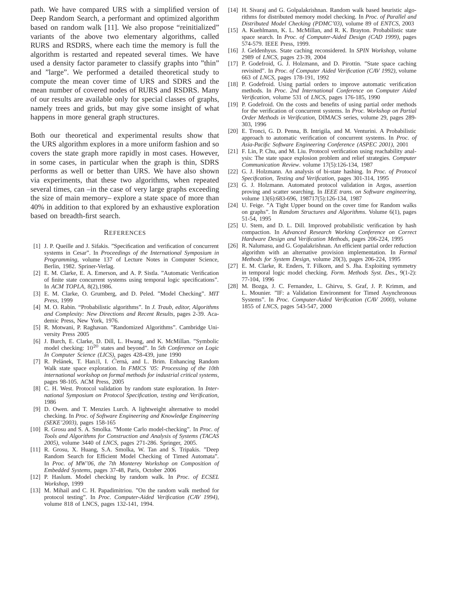path. We have compared URS with a simplified version of Deep Random Search, a performant and optimized algorithm based on random walk [11]. We also propose "reinitialized" variants of the above two elementary algorithms, called RURS and RSDRS, where each time the memory is full the algorithm is restarted and repeated several times. We have used a density factor parameter to classify graphs into "thin" and "large". We performed a detailed theoretical study to compute the mean cover time of URS and SDRS and the mean number of covered nodes of RURS and RSDRS. Many of our results are available only for special classes of graphs, namely trees and grids, but may give some insight of what happens in more general graph structures.

Both our theoretical and experimental results show that the URS algorithm explores in a more uniform fashion and so covers the state graph more rapidly in most cases. However, in some cases, in particular when the graph is thin, SDRS performs as well or better than URS. We have also shown via experiments, that these two algorithms, when repeated several times, can –in the case of very large graphs exceeding the size of main memory– explore a state space of more than 40% in addition to that explored by an exhaustive exploration based on breadth-first search.

#### **REFERENCES**

- [1] J. P. Queille and J. Sifakis. "Specification and verification of concurrent systems in Cesar". In *Proceedings of the International Symposium in Programming*, volume 137 of Lecture Notes in Computer Science, Berlin, 1982. Spriner-Verlag.
- [2] E. M. Clarke, E. A. Emerson, and A. P. Sistla. "Automatic Verification of finite state concurrent systems using temporal logic specifications". In *ACM TOPLA*, 8(2),1986.
- [3] E. M. Clarke, O. Grumberg, and D. Peled. "Model Checking". *MIT Press*, 1999
- [4] M. O. Rabin. "Probabilistic algorithms". In *J. Traub, editor, Algorithms and Complexity: New Directions and Recent Results*, pages 2-39. Academic Press, New York, 1976.
- [5] R. Motwani, P. Raghavan. "Randomized Algorithms". Cambridge University Press 2005
- [6] J. Burch, E. Clarke, D. Dill, L. Hwang, and K. McMillan. "Symbolic model checking: 10<sup>20</sup> states and beyond". In *5th Conference on Logic In Computer Science (LICS)*, pages 428-439, june 1990
- [7] R. Pelánek, T. Hanžl, I. Černá, and L. Brim. Enhancing Random Walk state space exploration. In *FMICS '05: Processing of the 10th international workshop on formal methods for industrial critical systems*, pages 98-105. ACM Press, 2005
- [8] C. H. West. Protocol validation by random state exploration. In *International Symposium on Protocol Specification, testing and Verification,* 1986
- [9] D. Owen. and T. Menzies Lurch. A lightweight alternative to model checking. In *Proc. of Software Engineering and Knowledge Engineering (SEKE'2003)*, pages 158-165
- [10] R. Grosu and S. A. Smolka. "Monte Carlo model-checking". In *Proc. of Tools and Algorithms for Construction and Analysis of Systems (TACAS 2005)*, volume 3440 of *LNCS*, pages 271-286. Springer, 2005.
- [11] R. Grosu, X. Huang, S.A. Smolka, W. Tan and S. Tripakis. "Deep Random Search for Efficient Model Checking of Timed Automata". In *Proc. of MW'06, the 7th Monterey Workshop on Composition of Embedded Systems*, pages 37-48, Paris, October 2006
- [12] P. Haslum. Model checking by random walk. In *Proc. of ECSEL Workshop*, 1999
- [13] M. Mihail and C. H. Papadimitriou. "On the random walk method for protocol testing". In *Proc. Computer-Aided Verification (CAV 1994)*, volume 818 of LNCS, pages 132-141, 1994.
- [14] H. Sivaraj and G. Golpalakrishnan. Random walk based heuristic algorithms for distributed memory model checking. In *Proc. of Parallel and Distributed Model Checking (PDMC'03)*, volume 89 of *ENTCS*, 2003
- [15] A. Kuehlmann, K. L. McMillan, and R. K. Brayton. Probabilistic state space search. In *Proc. of Computer-Aided Design (CAD 1999)*, pages 574-579. IEEE Press, 1999.
- [16] J. Geldenhyus. State caching reconsidered. In *SPIN Workshop*, volume 2989 of *LNCS*, pages 23-39, 2004
- [17] P. Godefroid, G. J. Holzmann, and D. Pirottin. "State space caching revisited". In *Proc. of Computer Aided Verification (CAV 1992),* volume 663 of *LNCS*, pages 178-191, 1992
- [18] P. Godefroid. Using partial orders to improve automatic verification methods. In *Proc. 2nd International Conference on Computer Aided Verification,* volume 531 of *LNCS*, pages 176-185, 1990
- [19] P. Godefroid. On the costs and benefits of using partial order methods for the verification of concurrent systems. In *Proc. Workshop on Partial Order Methods in Verification,* DIMACS series, volume 29, pages 289- 303, 1996
- [20] E. Tronci, G. D. Penna, B. Intrigila, and M. Venturini. A Probabilistic approach to automatic verification of concurrent systems. In *Proc. of Asia-Pacific Software Engineering Conference (ASPEC 2001)*, 2001
- [21] F. Lin, P. Chu, and M. Liu. Protocol verification using reachability analysis: The state space explosion problem and relief strategies. *Computer Communication Review*. volume 17(5):126-134, 1987
- [22] G. J. Holzmann. An analysis of bi-state hashing. In *Proc. of Protocol Specification, Testing and Verification*, pages 301-314, 1995
- [23] G. J. Holzmann. Automated protocol validation in Argos, assertion proving and scatter searching. In *IEEE trans. on Software engineering,* volume 13(6):683-696, 198717(5):126-134, 1987
- [24] U. Feige. "A Tight Upper bound on the cover time for Random walks on graphs". In *Random Structures and Algorithms*. Volume 6(1), pages 51-54, 1995
- [25] U. Stem, and D. L. Dill. Improved probabilistic verification by hash compaction. In *Advanced Research Working Conference on Correct Hardware Design and Verification Methods*, pages 206-224, 1995
- [26] R. Nalumasu, and G. Gopalakrishnan. An efficient partial order reduction algorithm with an alternative provision implementation. In *Formal Methods for System Design*, volume 20(3), pages 206-224, 1995
- [27] E. M. Clarke, R. Enders, T. Filkorn, and S. Jha. Exploiting symmetry in temporal logic model checking. *Form. Methods Syst. Des.*, 9(1-2): 77-104, 1996
- [28] M. Bozga, J. C. Fernandez, L. Ghirvu, S. Graf, J. P. Krimm, and L. Mounier. "IF: a Validation Environment for Timed Asynchronous Systems". In *Proc. Computer-Aided Verification (CAV 2000)*, volume 1855 of *LNCS*, pages 543-547, 2000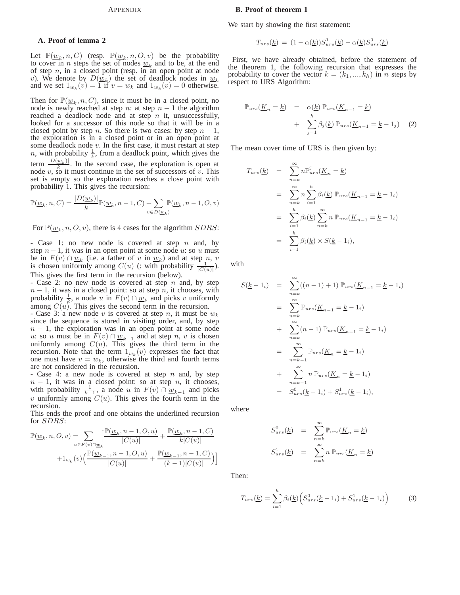#### APPENDIX

## **B. Proof of theorem 1**

We start by showing the first statement:

$$
T_{urs}(\underline{k}) = (1 - \alpha(\underline{k})) S_{urs}^{1}(\underline{k}) - \alpha(\underline{k}) S_{urs}^{0}(\underline{k})
$$

First, we have already obtained, before the statement of the theorem 1, the following recursion that expresses the probability to cover the vector  $\underline{k} = (k_1, ..., k_h)$  in *n* steps by respect to URS Algorithm:

$$
\mathbb{P}_{urs}(\underline{K}_n = \underline{k}) = \alpha(\underline{k}) \mathbb{P}_{urs}(\underline{K}_{n-1} = \underline{k})
$$
  
+ 
$$
\sum_{j=1}^h \beta_j(\underline{k}) \mathbb{P}_{urs}(\underline{K}_{n-1} = \underline{k} - 1_j)
$$
 (2)

The mean cover time of URS is then given by:

$$
T_{urs}(\underline{k}) = \sum_{n=k}^{\infty} n \mathbb{P}_{urs}^{J}(\underline{K}_{n} = \underline{k})
$$
  
= 
$$
\sum_{n=k}^{\infty} n \sum_{i=1}^{h} \beta_{i}(\underline{k}) \mathbb{P}_{urs}(\underline{K}_{n-1} = \underline{k} - 1_{i})
$$
  
= 
$$
\sum_{i=1}^{h} \beta_{i}(\underline{k}) \sum_{n=k}^{\infty} n \mathbb{P}_{urs}(\underline{K}_{n-1} = \underline{k} - 1_{i})
$$
  
= 
$$
\sum_{i=1}^{h} \beta_{i}(\underline{k}) \times S(\underline{k} - 1_{i}),
$$

with

$$
S(\underline{k}-1_i) = \sum_{n=k}^{\infty} ((n-1)+1) \mathbb{P}_{urs}(\underline{K}_{n-1} = \underline{k}-1_i)
$$
  
\n
$$
= \sum_{n=k}^{\infty} \mathbb{P}_{urs}(\underline{K}_{n-1} = \underline{k}-1_i)
$$
  
\n
$$
+ \sum_{n=k}^{\infty} (n-1) \mathbb{P}_{urs}(\underline{K}_{n-1} = \underline{k}-1_i)
$$
  
\n
$$
= \sum_{n=k-1}^{\infty} \mathbb{P}_{urs}(\underline{K}_n = \underline{k}-1_i)
$$
  
\n
$$
+ \sum_{n=k-1}^{\infty} n \mathbb{P}_{urs}(\underline{K}_n = \underline{k}-1_i)
$$
  
\n
$$
= S_{urs}^{0}(\underline{k}-1_i) + S_{urs}^{1}(\underline{k}-1_i),
$$

where

$$
S_{urs}^{0}(\underline{k}) = \sum_{n=k}^{\infty} \mathbb{P}_{urs}(\underline{K}_{n} = \underline{k})
$$
  

$$
S_{urs}^{1}(\underline{k}) = \sum_{n=k}^{\infty} n \mathbb{P}_{urs}(\underline{K}_{n} = \underline{k})
$$

Then:

$$
T_{urs}(\underline{k}) = \sum_{i=1}^{h} \beta_i(\underline{k}) \Big( S_{urs}^0(\underline{k} - 1_i) + S_{urs}^1(\underline{k} - 1_i) \Big) \tag{3}
$$

#### **A. Proof of lemma 2**

Let  $\mathbb{P}(\underline{w}_k, n, C)$  (resp.  $\mathbb{P}(\underline{w}_k, n, O, v)$  be the probability to cover in *n* steps the set of nodes  $\underline{w}_k$  and to be, at the end of step  $n$ , in a closed point (resp. in an open point at node v). We denote by  $D(\underline{w}_k)$  the set of deadlock nodes in  $\underline{w}_k$ and we set  $1_{w_k}(v) = 1$  if  $v = w_k$  and  $1_{w_k}(v) = 0$  otherwise.

Then for  $\mathbb{P}(\underline{w}_k, n, C)$ , since it must be in a closed point, no node is newly reached at step n: at step  $n-1$  the algorithm reached a deadlock node and at step  $n$  it, unsuccessfully, looked for a successor of this node so that it will be in a closed point by step n. So there is two cases: by step  $n - 1$ , the exploration is in a closed point or in an open point at some deadlock node  $v$ . In the first case, it must restart at step *n*, with probability  $\frac{1}{k}$ , from a deadlock point, which gives the term  $\frac{|D(w_k)|}{k}$ . In the  $\frac{w_{k}}{k}$ . In the second case, the exploration is open at node  $v$ , so it must continue in the set of successors of  $v$ . This set is empty so the exploration reaches a close point with probability 1. This gives the recursion:

$$
\mathbb{P}(\underline{w}_k, n, C) = \frac{|D(\underline{w}_k)|}{k} \mathbb{P}(\underline{w}_k, n-1, C) + \sum_{v \in D(\underline{w}_k)} \mathbb{P}(\underline{w}_k, n-1, O, v)
$$

For  $\mathbb{P}(\underline{w}_k, n, O, v)$ , there is 4 cases for the algorithm  $SDRS$ :

- Case 1: no new node is covered at step  $n$  and, by step  $n-1$ , it was in an open point at some node u: so u must be in  $F(v) \cap \underline{w}_k$  (i.e. a father of v in  $\underline{w}_k$ ) and at step n, v is chosen uniformly among  $C(u)$  (: with probability  $\frac{1}{|C(u)|}$ ). This gives the first term in the recursion (below).

- Case 2: no new node is covered at step n and, by step  $n-1$ , it was in a closed point: so at step  $n$ , it chooses, with probability  $\frac{1}{k}$ , a node u in  $F(v) \cap \underline{w}_k$  and picks v uniformly among  $C(u)$ . This gives the second term in the recursion.

- Case 3: a new node v is covered at step n, it must be  $w_k$ since the sequence is stored in visiting order, and, by step  $n-1$ , the exploration was in an open point at some node u: so u must be in  $F(v) \cap \underline{w}_{k-1}$  and at step n, v is chosen uniformly among  $C(u)$ . This gives the third term in the recursion. Note that the term  $1_{w_k}(v)$  expresses the fact that one must have  $v = w_k$ , otherwise the third and fourth terms are not considered in the recursion.

- Case 4: a new node is covered at step n and, by step  $n-1$ , it was in a closed point: so at step n, it chooses, with probability  $\frac{1}{k-1}$ , a node u in  $F(v) \cap \underline{w}_{k-1}$  and picks v uniformly among  $C(u)$ . This gives the fourth term in the recursion.

This ends the proof and one obtains the underlined recursion for SDRS:

$$
\mathbb{P}(\underline{w}_k, n, O, v) = \sum_{u \in F(v) \cap \underline{w}_k} \left[ \frac{\mathbb{P}(\underline{w}_k, n-1, O, u)}{|C(u)|} + \frac{\mathbb{P}(\underline{w}_k, n-1, C)}{k|C(u)|} + 1_{w_k}(v) \left( \frac{\mathbb{P}(\underline{w}_{k-1}, n-1, O, u)}{|C(u)|} + \frac{\mathbb{P}(\underline{w}_{k-1}, n-1, C)}{(k-1)|C(u)|} \right) \right]
$$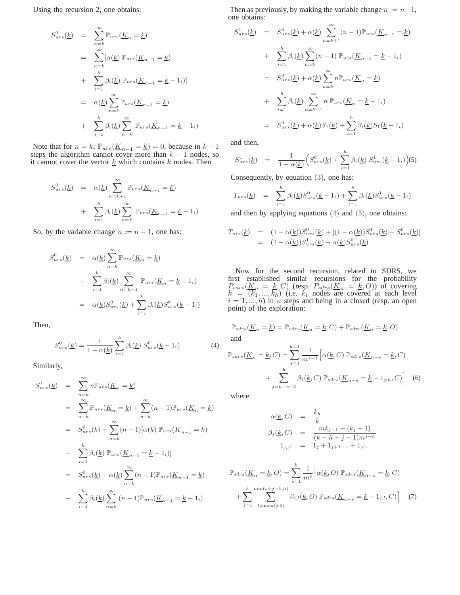Using the recursion 2, one obtains:

$$
S_{urs}^{0}(\underline{k}) = \sum_{n=k}^{\infty} \mathbb{P}_{urs}(\underline{K}_{n} = \underline{k})
$$
  
\n
$$
= \sum_{n=k}^{\infty} [\alpha(\underline{k}) \mathbb{P}_{urs}(\underline{K}_{n-1} = \underline{k})
$$
  
\n
$$
+ \sum_{i=1}^{h} \beta_{i}(\underline{k}) \mathbb{P}_{urs}(\underline{K}_{n-1} = \underline{k} - 1_{i})]
$$
  
\n
$$
= \alpha(\underline{k}) \sum_{n=k}^{\infty} \mathbb{P}_{urs}(\underline{K}_{n-1} = \underline{k})
$$
  
\n
$$
+ \sum_{i=1}^{h} \beta_{i}(\underline{k}) \sum_{n=k}^{\infty} \mathbb{P}_{urs}(\underline{K}_{n-1} = \underline{k} - 1_{i})
$$

Note that for  $n = k$ ,  $\mathbb{P}_{urs}(\underline{K}_{n-1} = \underline{k}) = 0$ , because in  $k - 1$ steps the algorithm cannot cover more than  $k - 1$  nodes, so it cannot cover the vector  $\underline{k}$  which contains  $k$  nodes. Then

$$
S_{urs}^{0}(\underline{k}) = \alpha(\underline{k}) \sum_{n=k+1}^{\infty} \mathbb{P}_{urs}(\underline{K}_{n-1} = \underline{k})
$$
  
+ 
$$
\sum_{i=1}^{h} \beta_i(\underline{k}) \sum_{n=k}^{\infty} \mathbb{P}_{urs}(\underline{K}_{n-1} = \underline{k} - 1_i)
$$

So, by the variable change  $n := n - 1$ , one has:

$$
S_{urs}^{0}(\underline{k}) = \alpha(\underline{k}) \sum_{n=k}^{\infty} \mathbb{P}_{urs}(\underline{K}_{n} = \underline{k})
$$
  
+ 
$$
\sum_{i=1}^{h} \beta_{i}(\underline{k}) \sum_{n=k-1}^{\infty} \mathbb{P}_{urs}(\underline{K}_{n} = \underline{k} - 1_{i})
$$
  
= 
$$
\alpha(\underline{k}) S_{urs}^{0}(\underline{k}) + \sum_{i=1}^{h} \beta_{i}(\underline{k}) S_{urs}^{0}(\underline{k} - 1_{i})
$$

Then,

$$
S_{urs}^{0}(\underline{k}) = \frac{1}{1 - \alpha(\underline{k})} \sum_{i=1}^{h} \beta_{i}(\underline{k}) S_{urs}^{0}(\underline{k} - 1_{i})
$$
(4)

Similarly,

$$
S_{urs}^{1}(\underline{k}) = \sum_{n=k}^{\infty} n \mathbb{P}_{urs}(\underline{K}_{n} = \underline{k})
$$
  
= 
$$
\sum_{n=k}^{\infty} \mathbb{P}_{urs}(\underline{K}_{n} = \underline{k}) + \sum_{n=k}^{\infty} (n-1) \mathbb{P}_{urs}(\underline{K}_{n} = \underline{k})
$$
  
= 
$$
S_{urs}^{0}(\underline{k}) + \sum_{n=k}^{\infty} (n-1) [\alpha(\underline{k}) \mathbb{P}_{urs}(\underline{K}_{n-1} = \underline{k})
$$
  
+ 
$$
\sum_{i=1}^{h} \beta_{i}(\underline{k}) \mathbb{P}_{urs}(\underline{K}_{n-1} = \underline{k} - 1_{i})]
$$
  
= 
$$
S_{urs}^{0}(\underline{k}) + \alpha(\underline{k}) \sum_{n=k}^{\infty} (n-1) \mathbb{P}_{urs}(\underline{K}_{n-1} = \underline{k})
$$
  
+ 
$$
\sum_{i=1}^{h} \beta_{i}(\underline{k}) \sum_{n=k}^{\infty} (n-1) \mathbb{P}_{urs}(\underline{K}_{n-1} = \underline{k} - 1_{i})
$$

Then as previously, by making the variable change  $n := n-1$ , one obtains:

$$
S_{urs}^{1}(\underline{k}) = S_{urs}^{0}(\underline{k}) + \alpha(\underline{k}) \sum_{n=k+1}^{\infty} (n-1) \mathbb{P}_{urs}(\underline{K}_{n-1} = \underline{k})
$$
  
+ 
$$
\sum_{i=1}^{h} \beta_{i}(\underline{k}) \sum_{n=k}^{\infty} (n-1) \mathbb{P}_{urs}(\underline{K}_{n-1} = \underline{k} - 1_{i})
$$
  
= 
$$
S_{urs}^{0}(\underline{k}) + \alpha(\underline{k}) \sum_{n=k}^{\infty} n \mathbb{P}_{urs}(\underline{K}_{n} = \underline{k})
$$
  
+ 
$$
\sum_{i=1}^{h} \beta_{i}(\underline{k}) \sum_{n=k-1}^{\infty} n \mathbb{P}_{urs}(\underline{K}_{n} = \underline{k} - 1_{i})
$$
  
= 
$$
S_{urs}^{0}(\underline{k}) + \alpha(\underline{k}) S_{1}(\underline{k}) + \sum_{i=1}^{h} \beta_{i}(\underline{k}) S_{1}(\underline{k} - 1_{i})
$$

and then,

$$
S_{urs}^1(\underline{k}) = \frac{1}{1 - \alpha(\underline{k})} \Big( S_{urs}^0(\underline{k}) + \sum_{i=1}^h \beta_i(\underline{k}) \ S_{urs}^1(\underline{k} - 1_i) \Big) (5)
$$

Consequently, by equation (3), one has:

$$
T_{urs}(\underline{k}) = \sum_{i=1}^{h} \beta_i(\underline{k}) S_{urs}^0(\underline{k} - 1_i) + \sum_{i=1}^{h} \beta_i(\underline{k}) S_{urs}^1(\underline{k} - 1_i)
$$

and then by applying equations  $(4)$  and  $(5)$ , one obtains:

$$
T_{urs}(\underline{k}) = (1 - \alpha(\underline{k})) S_{urs}^{0}(\underline{k}) + [(1 - \alpha(\underline{k})) S_{urs}^{1}(\underline{k}) - S_{urs}^{0}(\underline{k}))
$$
  
= 
$$
(1 - \alpha(\underline{k})) S_{urs}^{1}(\underline{k}) - \alpha(\underline{k}) S_{urs}^{0}(\underline{k})
$$

Now for the second recursion, related to SDRS, we first established similar recursions for the probability  $P_{sdrs}(\underline{K}_n = \underline{k}, C)$  (resp.  $P_{sdrs}(\underline{K}_n = \underline{k}, C)$ ) of covering  $k = (k_1, ..., k_h)$  (i.e.  $k_i$  nodes are covered at each level  $i = 1, ..., h$ ) in *n* steps and being in a closed (resp. an open point) of the exploration:

$$
\mathbb{P}_{sdrs}(\underline{K}_n=\underline{k})=\mathbb{P}_{sdrs}(\underline{K}_n=\underline{k},C)+\mathbb{P}_{sdrs}(\underline{K}_n=\underline{k},O)
$$
 and

$$
\mathbb{P}_{sdrs}(\underline{K}_n = \underline{k}, C) = \sum_{s=1}^{h+1} \frac{1}{m^{s-1}} \Big[ \alpha(\underline{k}, C) \; \mathbb{P}_{sdrs}(\underline{K}_{n-s} = \underline{k}, C) + \sum_{j=h-s+2}^{h} \beta_j(\underline{k}, C) \; \mathbb{P}_{sdrs}(\underline{K}_{n-s} = \underline{k} - 1_{j,h}, C) \Big] \tag{6}
$$

where:

$$
\alpha(\underline{k}, C) = \frac{k_h}{k}
$$
  
\n
$$
\beta_j(\underline{k}, C) = \frac{mk_{j-1} - (k_j - 1)}{(k - h + j - 1)m^{j-h}}
$$
  
\n
$$
1_{j,j'} = 1_j + 1_{j+1} + \dots + 1_{j'}.
$$

$$
\mathbb{P}_{sdrs}(\underline{K}_n = \underline{k}, O) = \sum_{s=1}^h \frac{1}{m^s} \left[ \alpha(\underline{k}, O) \; \mathbb{P}_{sdrs}(\underline{K}_{n-s} = \underline{k}, C) \right. \left. + \sum_{j=1}^h \sum_{l=\max(j, 0)}^{\min(s+j-1, h)} \beta_{j,l}(\underline{k}, O) \; \mathbb{P}_{sdrs}(\underline{K}_{n-s} = \underline{k} - 1_{j,l}, C) \right] \tag{7}
$$